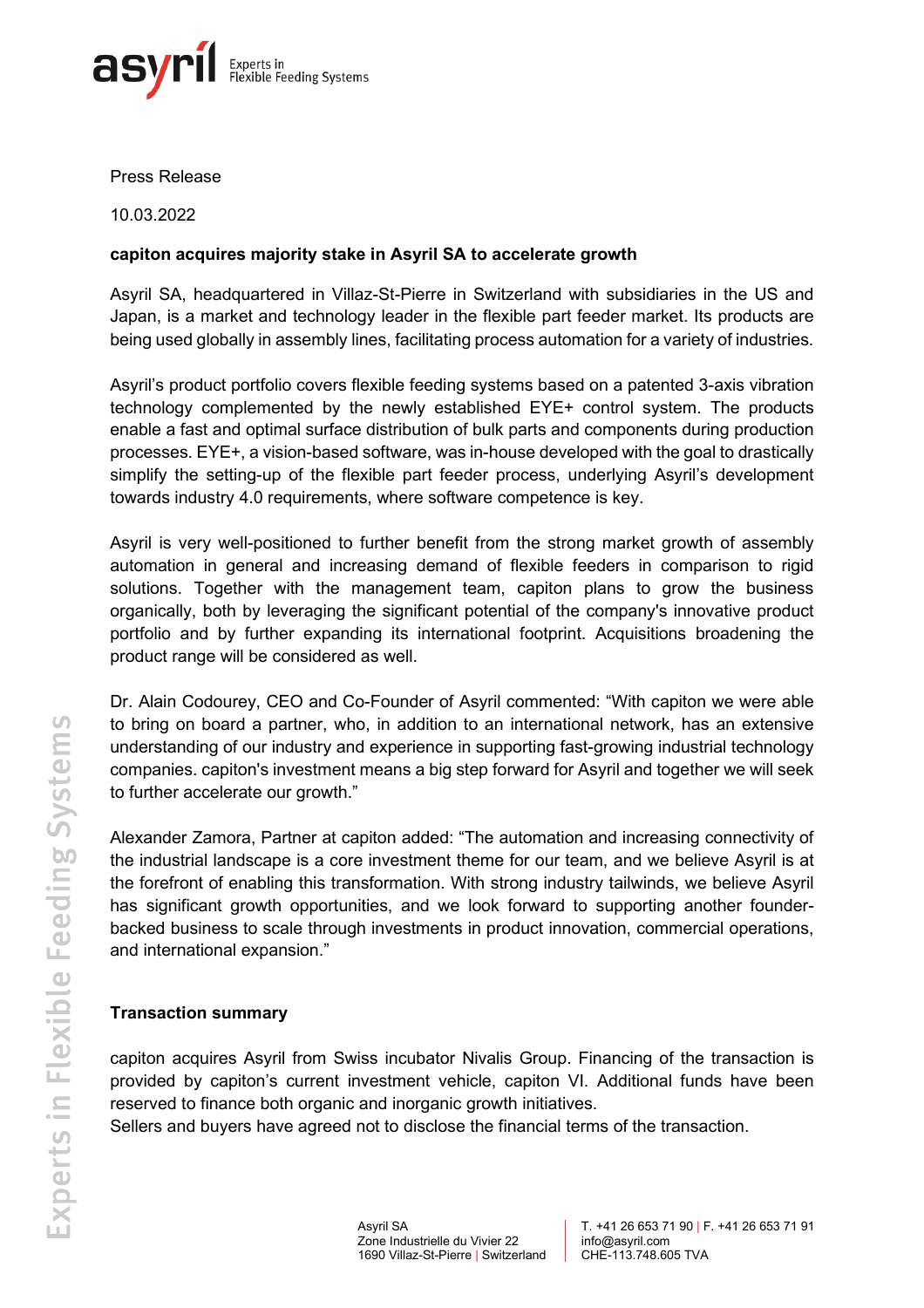

Press Release

10.03.2022

## **capiton acquires majority stake in Asyril SA to accelerate growth**

Asyril SA, headquartered in Villaz-St-Pierre in Switzerland with subsidiaries in the US and Japan, is a market and technology leader in the flexible part feeder market. Its products are being used globally in assembly lines, facilitating process automation for a variety of industries.

Asyril's product portfolio covers flexible feeding systems based on a patented 3-axis vibration technology complemented by the newly established EYE+ control system. The products enable a fast and optimal surface distribution of bulk parts and components during production processes. EYE+, a vision-based software, was in-house developed with the goal to drastically simplify the setting-up of the flexible part feeder process, underlying Asyril's development towards industry 4.0 requirements, where software competence is key.

Asyril is very well-positioned to further benefit from the strong market growth of assembly automation in general and increasing demand of flexible feeders in comparison to rigid solutions. Together with the management team, capiton plans to grow the business organically, both by leveraging the significant potential of the company's innovative product portfolio and by further expanding its international footprint. Acquisitions broadening the product range will be considered as well.

Dr. Alain Codourey, CEO and Co-Founder of Asyril commented: "With capiton we were able to bring on board a partner, who, in addition to an international network, has an extensive understanding of our industry and experience in supporting fast-growing industrial technology companies. capiton's investment means a big step forward for Asyril and together we will seek to further accelerate our growth."

Alexander Zamora, Partner at capiton added: "The automation and increasing connectivity of the industrial landscape is a core investment theme for our team, and we believe Asyril is at the forefront of enabling this transformation. With strong industry tailwinds, we believe Asyril has significant growth opportunities, and we look forward to supporting another founderbacked business to scale through investments in product innovation, commercial operations, and international expansion."

## **Transaction summary**

capiton acquires Asyril from Swiss incubator Nivalis Group. Financing of the transaction is provided by capiton's current investment vehicle, capiton VI. Additional funds have been reserved to finance both organic and inorganic growth initiatives.

Sellers and buyers have agreed not to disclose the financial terms of the transaction.